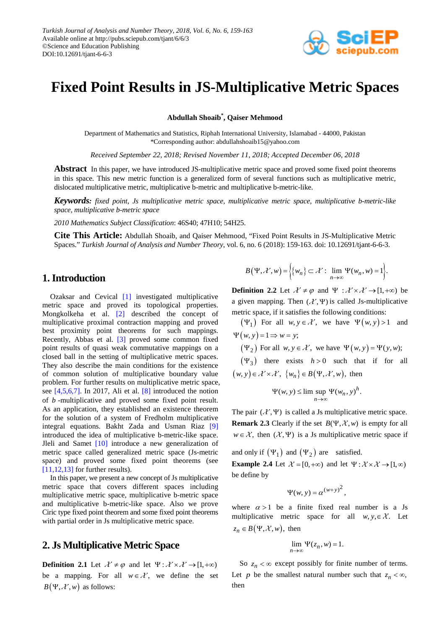

# **Fixed Point Results in JS-Multiplicative Metric Spaces**

**Abdullah Shoaib\* , Qaiser Mehmood**

Department of Mathematics and Statistics, Riphah International University, Islamabad - 44000, Pakistan \*Corresponding author: abdullahshoaib15@yahoo.com

*Received September 22, 2018; Revised November 11, 2018; Accepted December 06, 2018*

**Abstract** In this paper, we have introduced JS-multiplicative metric space and proved some fixed point theorems in this space. This new metric function is a generalized form of several functions such as multiplicative metric, dislocated multiplicative metric, multiplicative b-metric and multiplicative b-metric-like.

*Keywords: fixed point, Js multiplicative metric space, multiplicative metric space, multiplicative b-metric-like space, multiplicative b-metric space*

*2010 Mathematics Subject Classification*: 46S40; 47H10; 54H25.

**Cite This Article:** Abdullah Shoaib, and Qaiser Mehmood, "Fixed Point Results in JS-Multiplicative Metric Spaces." *Turkish Journal of Analysis and Number Theory*, vol. 6, no. 6 (2018): 159-163. doi: 10.12691/tjant-6-6-3.

# **1. Introduction**

Ozaksar and Cevical [\[1\]](#page-4-0) investigated multiplicative metric space and proved its topological properties. Mongkolkeha et al. [\[2\]](#page-4-1) described the concept of multiplicative proximal contraction mapping and proved best proximity point theorems for such mappings. Recently, Abbas et al. [\[3\]](#page-4-2) proved some common fixed point results of quasi weak commutative mappings on a closed ball in the setting of multiplicative metric spaces. They also describe the main conditions for the existence of common solution of multiplicative boundary value problem. For further results on multiplicative metric space, see [\[4,5,6,7\].](#page-4-3) In 2017, Ali et al. [\[8\]](#page-4-4) introduced the notion of *b* -multiplicative and proved some fixed point result. As an application, they established an existence theorem for the solution of a system of Fredholm multiplicative integral equations. Bakht Zada and Usman Riaz [\[9\]](#page-4-5) introduced the idea of multiplicative b-metric-like space. Jleli and Samet [\[10\]](#page-4-6) introduce a new generalization of metric space called generalized metric space (Js-metric space) and proved some fixed point theorems (see  $[11,12,13]$  for further results).

In this paper, we present a new concept of Js multiplicative metric space that covers different spaces including multiplicative metric space, multiplicative b-metric space and multiplicative b-metric-like space. Also we prove Ciric type fixed point theorem and some fixed point theorems with partial order in Js multiplicative metric space.

#### **2. Js Multiplicative Metric Space**

**Definition 2.1** Let  $\mathcal{X} \neq \varphi$  and let  $\Psi : \mathcal{X} \times \mathcal{X} \rightarrow [1, +\infty)$ be a mapping. For all  $w \in \mathcal{X}$ , we define the set  $B(\Psi, \mathcal{X}, w)$  as follows:

$$
B(\Psi, \mathcal{X}, w) = \Big\{ \{w_n\} \subset \mathcal{X} : \lim_{n \to \infty} \Psi(w_n, w) = 1 \Big\}.
$$

**Definition 2.2** Let  $\mathcal{X} \neq \varphi$  and  $\Psi : \mathcal{X} \times \mathcal{X} \rightarrow [1, +\infty)$  be a given mapping. Then  $({\mathcal{X}}, {\Psi})$  is called Js-multiplicative metric space, if it satisfies the following conditions:

 $(\Psi_1)$  For all  $w, y \in \mathcal{X}$ , we have  $\Psi(w, y) > 1$  and  $\Psi(w, y) = 1 \Rightarrow w = y;$ 

 $(\Psi_2)$  For all  $w, y \in \mathcal{X}$ , we have  $\Psi(w, y) = \Psi(y, w)$ ;

 $(\Psi_3)$  there exists  $h > 0$  such that if for all  $(w, y) \in \mathcal{X} \times \mathcal{X}, \ \{w_n\} \in B(\Psi, \mathcal{X}, w), \text{ then}$ 

$$
\Psi(w, y) \le \limsup_{n \to \infty} \Psi(w_n, y)^h.
$$

The pair  $(\mathcal{X}, \Psi)$  is called a Js multiplicative metric space. **Remark 2.3** Clearly if the set  $B(\Psi, \mathcal{X}, w)$  is empty for all  $w \in \mathcal{X}$ , then  $(\mathcal{X}, \Psi)$  is a Js multiplicative metric space if

and only if  $(\Psi_1)$  and  $(\Psi_2)$  are satisfied.

**Example 2.4** Let  $\mathcal{X} = [0, +\infty)$  and let  $\Psi : \mathcal{X} \times \mathcal{X} \rightarrow [1, \infty)$ be define by

$$
\Psi(w, y) = \alpha^{(w+y)^2},
$$

where  $\alpha > 1$  be a finite fixed real number is a Js multiplicative metric space for all  $w, y, \in \mathcal{X}$ . Let  $z_n \in B(\Psi, \mathcal{X}, w)$ , then

$$
\lim_{n\to\infty}\Psi(z_n,w)=1.
$$

So  $z_n < \infty$  except possibly for finite number of terms. Let *p* be the smallest natural number such that  $z_n < \infty$ , then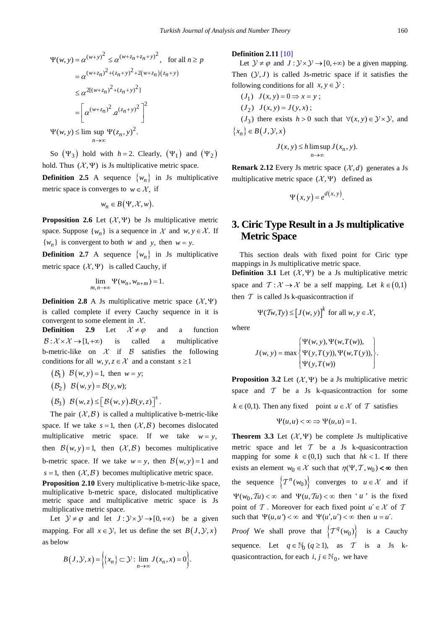$$
\Psi(w, y) = \alpha^{(w+y)^2} \le \alpha^{(w+z_n+z_n+y)^2}, \text{ for all } n \ge p
$$
  
=  $\alpha^{(w+z_n)^2 + (z_n+y)^2 + 2(w+z_n)(z_n+y)}$   
 $\le \alpha^{2[(w+z_n)^2 + (z_n+y)^2]}$   
=  $\left[\alpha^{(w+z_n)^2} \alpha^{(z_n+y)^2}\right]^2$   
 $\Psi(w, y) \le \limsup_{n \to \infty} \Psi(z_n, y)^2.$ 

So  $(\Psi_3)$  hold with  $h = 2$ . Clearly,  $(\Psi_1)$  and  $(\Psi_2)$ hold. Thus  $({\mathcal X}, {\Psi})$  is Js multiplicative metric space.

**Definition 2.5** A sequence  $\{w_n\}$  in Js multiplicative metric space is converges to  $w \in \mathcal{X}$ , if

$$
w_n \in B(\Psi, \mathcal{X}, w).
$$

**Proposition 2.6** Let  $(X, \Psi)$  be Js multiplicative metric space. Suppose  $\{w_n\}$  is a sequence in  $\mathcal X$  and  $w, y \in \mathcal X$ . If  $\{w_n\}$  is convergent to both *w* and *y*, then  $w = y$ .

**Definition 2.7** A sequence  $\{w_n\}$  in Js multiplicative metric space  $(\mathcal{X}, \Psi)$  is called Cauchy, if

$$
\lim_{m,n\to\infty}\Psi(w_n,w_{n+m})=1.
$$

**Definition 2.8** A Js multiplicative metric space  $(\mathcal{X}, \Psi)$ is called complete if every Cauchy sequence in it is convergent to some element in  $X$ .

**Definition** 2.9 Let  $\mathcal{X} \neq \varphi$  and a function  $\mathcal{B}: \mathcal{X} \times \mathcal{X} \rightarrow [1, +\infty)$  is called a multiplicative b-metric-like on  $\mathcal X$  if  $\mathcal B$  satisfies the following conditions for all *w*,  $y, z \in \mathcal{X}$  and a constant  $s \ge 1$ 

 $(\mathcal{B}_1)$   $\mathcal{B}(w, y) = 1$ , then  $w = y$ ;

$$
(\mathcal{B}_2) \mathcal{B}(w, y) = \mathcal{B}(y, w);
$$

 $(\mathcal{B}_3)$   $\mathcal{B}(w, z) \leq [\mathcal{B}(w, y) \cdot \mathcal{B}(y, z)]^s$ .

The pair  $(X,\mathcal{B})$  is called a multiplicative b-metric-like space. If we take  $s = 1$ , then  $(\mathcal{X}, \mathcal{B})$  becomes dislocated multiplicative metric space. If we take  $w = y$ , then  $\mathcal{B}(w, y) = 1$ , then  $(\mathcal{X}, \mathcal{B})$  becomes multiplicative b-metric space. If we take  $w = y$ , then  $\mathcal{B}(w, y) = 1$  and  $s = 1$ , then  $(\mathcal{X}, \mathcal{B})$  becomes multiplicative metric space.

**Proposition 2.10** Every multiplicative b-metric-like space, multiplicative b-metric space, dislocated multiplicative metric space and multiplicative metric space is Js multiplicative metric space.

Let  $\mathcal{Y} \neq \varphi$  and let  $J : \mathcal{Y} \times \mathcal{Y} \rightarrow [0, +\infty)$  be a given mapping. For all  $x \in \mathcal{Y}$ , let us define the set  $B(J, \mathcal{Y}, x)$ as below

$$
B(J, \mathcal{Y}, x) = \left\{ \{x_n\} \subset \mathcal{Y} : \lim_{n \to \infty} J(x_n, x) = 0 \right\}.
$$

#### **Definition 2.11** [\[10\]](#page-4-6)

Let  $\mathcal{Y} \neq \varphi$  and  $J : \mathcal{Y} \times \mathcal{Y} \rightarrow [0, +\infty)$  be a given mapping. Then  $(y, J)$  is called Js-metric space if it satisfies the following conditions for all  $x, y \in \mathcal{Y}$ :

$$
(J1)  $J(x, y) = 0 \Rightarrow x = y;$   
\n
$$
(J2)  $J(x, y) = J(y, x);$
$$
$$

 $(J_3)$  there exists  $h > 0$  such that  $\forall (x, y) \in \mathcal{Y} \times \mathcal{Y}$ , and  ${x_n} \in B(J, y, x)$ 

$$
J(x, y) \le h \limsup_{n \to \infty} J(x_n, y).
$$

**Remark 2.12** Every Js metric space  $(\mathcal{X}, d)$  generates a Js multiplicative metric space  $(\mathcal{X}, \Psi)$  defined as

$$
\Psi(x, y) = e^{d(x, y)}.
$$

# **3. Ciric Type Result in a Js multiplicative Metric Space**

This section deals with fixed point for Ciric type mappings in Js multiplicative metric space.

**Definition 3.1** Let  $(X, \Psi)$  be a Js multiplicative metric space and  $T: \mathcal{X} \to \mathcal{X}$  be a self mapping. Let  $k \in (0,1)$ then  $\mathcal T$  is called Js k-quasicontraction if

$$
\Psi(\mathcal{T}_W, T_y) \le \left[ J(w, y) \right]^k \text{ for all } w, y \in \mathcal{X},
$$

where

$$
J(w, y) = \max \begin{cases} \Psi(w, y), \Psi(w, T(w)), \\ \Psi(y, T(y)), \Psi(w, T(y)), \\ \Psi(y, T(w)) \end{cases}.
$$

**Proposition 3.2** Let  $(X, \Psi)$  be a Js multiplicative metric space and  $T$  be a Js k-quasicontraction for some

 $k \in (0,1)$ . Then any fixed point  $u \in \mathcal{X}$  of  $\mathcal{T}$  satisfies

$$
\Psi(u, u) < \infty \Longrightarrow \Psi(u, u) = 1.
$$

**Theorem 3.3** Let  $(X, \Psi)$  be complete Js multiplicative metric space and let  $T$  be a Js k-quasicontraction mapping for some  $k \in (0,1)$  such that  $hk < 1$ . If there exists an element  $w_0 \in \mathcal{X}$  such that  $\eta(\Psi, \mathcal{T}, w_0) < \infty$  then the sequence  $\left\{T^{n}(w_{0})\right\}$  converges to  $u \in \mathcal{X}$  and if  $\Psi(w_0, \mathcal{T}_u) < \infty$  and  $\Psi(u, \mathcal{T}_u) < \infty$  then '*u*' is the fixed point of T. Moreover for each fixed point  $u' \in \mathcal{X}$  of T such that  $\Psi(u, u') < \infty$  and  $\Psi(u', u') < \infty$  then  $u = u'$ .

*Proof* We shall prove that  $\left\{T^q(w_0)\right\}$  is a Cauchy sequence. Let  $q \in \mathbb{N}_0 (q \ge 1)$ , as T is a Js kquasicontraction, for each  $i, j \in \mathbb{N}_0$ , we have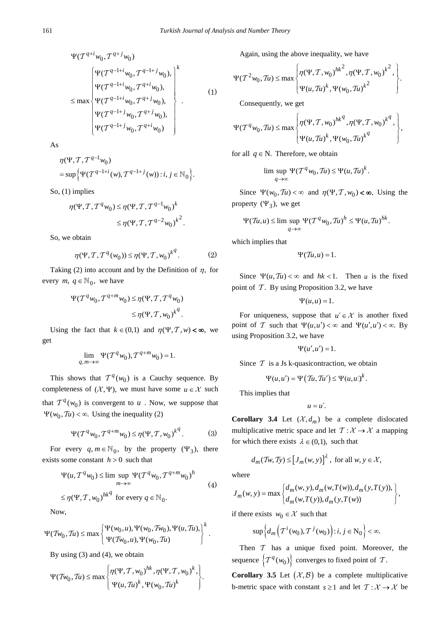$$
\Psi(T^{q+i}w_0, T^{q+j}w_0)
$$
\n
$$
\leq \max \left\{\n\begin{aligned}\n\Psi(T^{q-1+i}w_0, T^{q-1+j}w_0), \\
\Psi(T^{q-1+i}w_0, T^{q+i}w_0), \\
\Psi(T^{q-1+i}w_0, T^{q+j}w_0), \\
\Psi(T^{q-1+j}w_0, T^{q+j}w_0), \\
\Psi(T^{q-1+j}w_0, T^{q+i}w_0)\n\end{aligned}\n\right\}.
$$
\n(1)

As

$$
\eta(\Psi, \mathcal{T}, \mathcal{T}^{q-1}w_0)
$$
  
=  $\sup \Big\{ \Psi(\mathcal{T}^{q-1+i}(w), \mathcal{T}^{q-1+j}(w)) : i, j \in \mathbb{N}_0 \Big\}.$ 

So, (1) implies

$$
\eta(\Psi, \mathcal{T}, \mathcal{T}^q w_0) \le \eta(\Psi, \mathcal{T}, \mathcal{T}^{q-1} w_0)^k
$$
  

$$
\le \eta(\Psi, \mathcal{T}, \mathcal{T}^{q-2} w_0)^k^2.
$$

So, we obtain

$$
\eta(\Psi, \mathcal{T}, \mathcal{T}^q(w_0)) \le \eta(\Psi, \mathcal{T}, w_0)^{k^q}.
$$
 (2)

Taking (2) into account and by the Definition of  $\eta$ , for every *m*,  $q \in \mathbb{N}_0$ , we have

$$
\Psi(\mathcal{T}^q w_0, \mathcal{T}^{q+m} w_0) \le \eta(\Psi, \mathcal{T}, \mathcal{T}^q w_0)
$$
  

$$
\le \eta(\Psi, \mathcal{T}, w_0)^{k^q}.
$$

Using the fact that  $k \in (0,1)$  and  $\eta(\Psi, \mathcal{T}, w) < \infty$ , we get

$$
\lim_{q,m\to\infty}\Psi(\mathcal T^q w_0),\mathcal T^{q+m}w_0)=1.
$$

This shows that  $T^q(w_0)$  is a Cauchy sequence. By completeness of  $(X, \Psi)$ , we must have some  $u \in \mathcal{X}$  such that  $T^q(w_0)$  is convergent to *u* . Now, we suppose that  $\Psi(w_0, \mathcal{T}_u) < \infty$ . Using the inequality (2)

$$
\Psi(T^q w_0, T^{q+m} w_0) \le \eta(\Psi, T, w_0)^{k^q}.
$$
 (3)

For every  $q, m \in \mathbb{N}_0$ , by the property  $(\Psi_3)$ , there exists some constant  $h > 0$  such that

$$
\Psi(u, \mathcal{T}^q w_0) \le \limsup_{m \to \infty} \Psi(\mathcal{T}^q w_0, \mathcal{T}^{q+m} w_0)^h
$$
  

$$
\le \eta(\Psi, \mathcal{T}, w_0)^{hk^q} \text{ for every } q \in \mathbb{N}_0.
$$
 (4)

Now,

$$
\Psi(\mathcal{T}w_0, \mathcal{T}u) \le \max \left\{ \frac{\Psi(w_0, u), \Psi(w_0, \mathcal{T}w_0), \Psi(u, \mathcal{T}u),}{\Psi(\mathcal{T}w_0, u), \Psi(w_0, \mathcal{T}u)} \right\}^k.
$$

By using (3) and (4), we obtain

$$
\Psi(\mathcal{T}w_0, \mathcal{T}u) \le \max \left\{ \eta(\Psi, \mathcal{T}, w_0)^{hk}, \eta(\Psi, \mathcal{T}, w_0)^k, \right\}.
$$
  

$$
\Psi(u, \mathcal{T}u)^k, \Psi(w_0, \mathcal{T}u)^k \right\}.
$$

Again, using the above inequality, we have

$$
\Psi(\mathcal{T}^2 w_0, \mathcal{T}u) \le \max \left\{ \eta(\Psi, \mathcal{T}, w_0)^{hk^2}, \eta(\Psi, \mathcal{T}, w_0)^{k^2}, \right\} \cdot \text{max} \cdot \text{max} \cdot \text{max} \cdot \text{max} \cdot \text{max} \cdot \text{max} \cdot \text{max} \cdot \text{max} \cdot \text{max} \cdot \text{max} \cdot \text{max} \cdot \text{max} \cdot \text{max} \cdot \text{max} \cdot \text{max} \cdot \text{max} \cdot \text{max} \cdot \text{max} \cdot \text{max} \cdot \text{max} \cdot \text{max} \cdot \text{max} \cdot \text{max} \cdot \text{max} \cdot \text{max} \cdot \text{max} \cdot \text{max} \cdot \text{max} \cdot \text{max} \cdot \text{max} \cdot \text{max} \cdot \text{max} \cdot \text{max} \cdot \text{max} \cdot \text{max} \cdot \text{max} \cdot \text{max} \cdot \text{max} \cdot \text{max} \cdot \text{max} \cdot \text{max} \cdot \text{max} \cdot \text{max} \cdot \text{max} \cdot \text{max} \cdot \text{max} \cdot \text{max} \cdot \text{max} \cdot \text{max} \cdot \text{max} \cdot \text{max} \cdot \text{max} \cdot \text{max} \cdot \text{max} \cdot \text{max} \cdot \text{max} \cdot \text{max} \cdot \text{max} \cdot \text{max} \cdot \text{max} \cdot \text{max} \cdot \text{max} \cdot \text{max} \cdot \text{max} \cdot \text{max} \cdot \text{max} \cdot \text{max} \cdot \text{max} \cdot \text{max} \cdot \text{max} \cdot \text{max} \cdot \text{max} \cdot \text{max} \cdot \text{max} \cdot \text{max} \cdot \text{max} \cdot \text{max} \cdot \text{max} \cdot \text{max} \cdot \text{max} \cdot \text{max} \cdot \text{max} \cdot \text{max} \cdot \text{max} \cdot \text{max} \cdot \text{max} \cdot \text{max} \cdot \text{max} \cdot \text{max} \cdot \text{max} \cdot \text{max} \cdot \text{max} \cdot \text{max} \cdot \text{max} \cdot \text{max} \cdot \text{max} \cdot \text{max} \cdot \text{max} \cdot \text
$$

Consequently, we get

$$
\Psi(\mathcal{T}^q w_0, \mathcal{T}u) \le \max \left\{ \eta(\Psi, \mathcal{T}, w_0)^{hk^q}, \eta(\Psi, \mathcal{T}, w_0)^{k^q}, \left\| \Psi(u, \mathcal{T}u)^k, \Psi(w_0, \mathcal{T}u)^{k^q} \right\} \right\},
$$

for all  $q \in N$ . Therefore, we obtain

$$
\limsup_{q \to \infty} \Psi(\mathcal{T}^q w_0, \mathcal{T}u) \le \Psi(u, \mathcal{T}u)^k.
$$

Since  $\Psi(w_0, \mathcal{T}_u) < \infty$  and  $\eta(\Psi, \mathcal{T}, w_0) < \infty$ . Using the property  $(\Psi_3)$ , we get

$$
\Psi(\mathcal{T}u,u) \le \limsup_{q \to \infty} \Psi(\mathcal{T}^q w_0, \mathcal{T}u)^h \le \Psi(u, \mathcal{T}u)^{hk}.
$$

which implies that

$$
\Psi(\mathcal{T}u,u)=1.
$$

Since  $\Psi(u, \mathcal{T}u) < \infty$  and  $hk < 1$ . Then *u* is the fixed point of  $T$ . By using Proposition 3.2, we have

$$
\Psi(u,u)=1.
$$

For uniqueness, suppose that  $u' \in \mathcal{X}$  is another fixed point of T such that  $\Psi(u, u') < \infty$  and  $\Psi(u', u') < \infty$ . By using Proposition 3.2, we have

$$
\Psi(u',u')=1.
$$

Since  $T$  is a Js k-quasicontraction, we obtain

$$
\Psi(u, u') = \Psi(\mathcal{T}u, \mathcal{T}u') \leq \Psi(u, u\Box^{k}.
$$

This implies that

$$
u = u'.
$$

**Corollary 3.4** Let  $(\mathcal{X}, d_m)$  be a complete dislocated multiplicative metric space and let  $\mathcal{T} : \mathcal{X} \to \mathcal{X}$  a mapping for which there exists  $\lambda \in (0,1)$ , such that

$$
d_m(\mathcal{Tw}, \mathcal{T}y) \leq [J_m(w, y)]^{\lambda}
$$
, for all  $w, y \in \mathcal{X}$ ,

where

$$
J_m(w, y) = \max \begin{cases} d_m(w, y), d_m(w, T(w)), d_m(y, T(y)), \\ d_m(w, T(y)), d_m(y, T(w)) \end{cases},
$$

if there exists  $w_0 \in \mathcal{X}$  such that

$$
\sup \left\{ d_m \left( \mathcal{T}^i(w_0), \mathcal{T}^j(w_0) \right) : i, j \in \mathbb{N}_0 \right\} < \infty.
$$

Then  $T$  has a unique fixed point. Moreover, the sequence  $\left\{T^q(w_0)\right\}$  converges to fixed point of T.

**Corollary 3.5** Let  $(X, \mathcal{B})$  be a complete multiplicative b-metric space with constant  $s \ge 1$  and let  $\mathcal{T} : \mathcal{X} \to \mathcal{X}$  be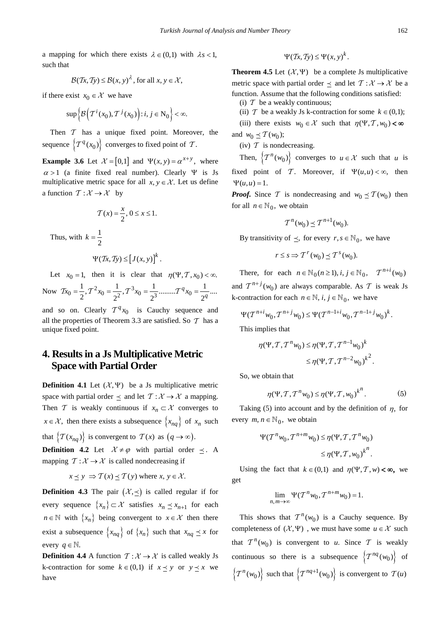a mapping for which there exists  $\lambda \in (0,1)$  with  $\lambda s < 1$ , such that

$$
\mathcal{B}(\mathcal{T}x, \mathcal{T}y) \leq \mathcal{B}(x, y)^{\lambda}
$$
, for all  $x, y \in \mathcal{X}$ ,

if there exist  $x_0 \in \mathcal{X}$  we have

$$
\sup \Big\{ \mathcal{B} \Big( \mathcal{T}^i(x_0), \mathcal{T}^j(x_0) \Big) : i, j \in \mathbb{N}_0 \Big\} < \infty.
$$

Then  $T$  has a unique fixed point. Moreover, the sequence  $\left\{T^q(x_0)\right\}$  converges to fixed point of T.

**Example 3.6** Let  $\mathcal{X} = [0,1]$  and  $\Psi(x, y) = \alpha^{x+y}$ , where  $\alpha > 1$  (a finite fixed real number). Clearly Ψ is Js multiplicative metric space for all  $x, y \in \mathcal{X}$ . Let us define a function  $T: \mathcal{X} \to \mathcal{X}$  by

$$
\mathcal{T}(x) = \frac{x}{2}, 0 \le x \le 1.
$$
  
Thus, with  $k = \frac{1}{2}$ 

$$
\Psi(\mathcal{T}x,\mathcal{T}y)\leq [J(x,y)]^{k}.
$$

Let  $x_0 = 1$ , then it is clear that  $\eta(\Psi, \mathcal{T}, x_0) < \infty$ . Now  $\mathcal{T}x_0 = \frac{1}{2}, \mathcal{T}^2 x_0 = \frac{1}{2^2}, \mathcal{T}^3 x_0 = \frac{1}{2^3} \dots \dots \mathcal{T}^q x_0 = \frac{1}{2^q} \dots$ and so on. Clearly  $T^q x_0$  is Cauchy sequence and all the properties of Theorem 3.3 are satisfied. So  $\mathcal T$  has a unique fixed point.

### **4. Results in a Js Multiplicative Metric Space with Partial Order**

**Definition 4.1** Let  $(X, \Psi)$  be a Js multiplicative metric space with partial order  $\prec$  and let  $\mathcal{T} : \mathcal{X} \to \mathcal{X}$  a mapping. Then T is weakly continuous if  $x_n \subset \mathcal{X}$  converges to  $x \in \mathcal{X}$ , then there exists a subsequence  $\{x_{nq}\}\$  of  $x_n$  such that  $\{T(x_{na})\}$  is convergent to  $T(x)$  as  $(q \rightarrow \infty)$ .

**Definition 4.2** Let  $\mathcal{X} \neq \varphi$  with partial order  $\prec$ . A mapping  $T : \mathcal{X} \to \mathcal{X}$  is called nondecreasing if

 $x \prec y \implies T(x) \prec T(y)$  where  $x, y \in \mathcal{X}$ .

**Definition 4.3** The pair  $(\mathcal{X}, \leq)$  is called regular if for every sequence  $\{x_n\} \subset \mathcal{X}$  satisfies  $x_n \leq x_{n+1}$  for each  $n \in \mathbb{N}$  with  $\{x_n\}$  being convergent to  $x \in \mathcal{X}$  then there exist a subsequence  $\{x_{nq}\}\$  of  $\{x_n\}$  such that  $x_{nq} \leq x$  for every  $q \in \mathbb{N}$ .

**Definition 4.4** A function  $T: \mathcal{X} \to \mathcal{X}$  is called weakly Js k-contraction for some  $k \in (0,1)$  if  $x \le y$  or  $y \le x$  we have

$$
\Psi(\mathcal{T}x,\mathcal{T}y)\leq \Psi(x,y)^{k}.
$$

**Theorem 4.5** Let  $(X, \Psi)$  be a complete Js multiplicative metric space with partial order  $\prec$  and let  $\mathcal{T} : \mathcal{X} \to \mathcal{X}$  be a function. Assume that the following conditions satisfied:

(i)  $T$  be a weakly continuous;

(ii)  $\mathcal T$  be a weakly Js k-contraction for some  $k \in (0,1)$ ;

(iii) there exists  $w_0 \in \mathcal{X}$  such that  $\eta(\Psi, \mathcal{T}, w_0) < \infty$ and  $w_0 \prec \mathcal{T}(w_0)$ ;

(iv)  $T$  is nondecreasing.

Then,  $\left\{T^{n}(w_{0})\right\}$  converges to  $u \in \mathcal{X}$  such that *u* is fixed point of T. Moreover, if  $\Psi(u,u) < \infty$ , then  $\Psi(u, u) = 1.$ 

*Proof.* Since T is nondecreasing and  $w_0 \prec T(w_0)$  then for all  $n \in \mathbb{N}_0$ , we obtain

$$
\mathcal{T}^n(w_0) \preceq \mathcal{T}^{n+1}(w_0).
$$

By transitivity of  $\leq$ , for every  $r, s \in \mathbb{N}_0$ , we have

$$
r \leq s \Rightarrow \mathcal{T}^r(w_0) \leq \mathcal{T}^s(w_0).
$$

There, for each  $n \in \mathbb{N}_0 (n \ge 1), i, j \in \mathbb{N}_0, \quad \mathcal{T}^{n+i}(w_0)$ and  $T^{n+j}(w_0)$  are always comparable. As T is weak Js

k-contraction for each  $n \in \mathbb{N}$ ,  $i, j \in \mathbb{N}_0$ , we have

$$
\Psi(\mathcal{T}^{n+i}w_0, \mathcal{T}^{n+j}w_0) \le \Psi(\mathcal{T}^{n-1+i}w_0, \mathcal{T}^{n-1+j}w_0)^k.
$$

This implies that

$$
\eta(\Psi, \mathcal{T}, \mathcal{T}^n w_0) \le \eta(\Psi, \mathcal{T}, \mathcal{T}^{n-1} w_0)^k
$$
  

$$
\le \eta(\Psi, \mathcal{T}, \mathcal{T}^{n-2} w_0)^k^2.
$$

So, we obtain that

$$
\eta(\Psi, \mathcal{T}, \mathcal{T}^n w_0) \le \eta(\Psi, \mathcal{T}, w_0)^{k^n}.
$$
 (5)

Taking (5) into account and by the definition of  $\eta$ , for every  $m, n \in \mathbb{N}_0$ , we obtain

$$
\Psi(\mathcal{T}^{n}w_{0}, \mathcal{T}^{n+m}w_{0}) \leq \eta(\Psi, \mathcal{T}, \mathcal{T}^{n}w_{0})
$$

$$
\leq \eta(\Psi, \mathcal{T}, w_{0})^{k^{n}}.
$$

Using the fact that  $k \in (0,1)$  and  $\eta(\Psi, \mathcal{T}, w) < \infty$ , we get

$$
\lim_{n,m \to \infty} \Psi(\mathcal{T}^n w_0, \mathcal{T}^{n+m} w_0) = 1.
$$

This shows that  $T^n(w_0)$  is a Cauchy sequence. By completeness of  $(\mathcal{X}, \Psi)$ , we must have some  $u \in \mathcal{X}$  such that  $T^{n}(w_0)$  is convergent to *u*. Since T is weakly continuous so there is a subsequence  $\left\{T^{nq}(w_0)\right\}$  of  $\left\{T^{n}(w_{0})\right\}$  such that  $\left\{T^{nq+1}(w_{0})\right\}$  is convergent to  $T(u)$